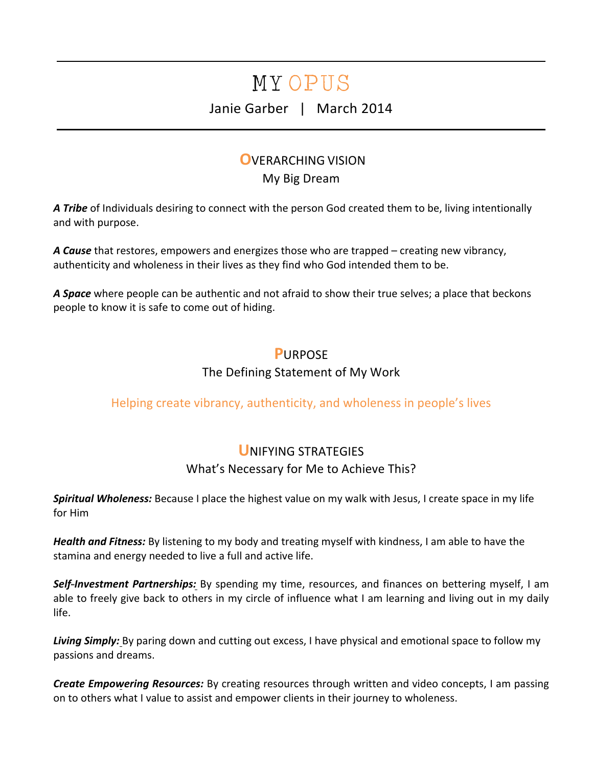# MY OPUS

Janie Garber | March 2014

# **O**VERARCHING VISION

### My Big Dream

A Tribe of Individuals desiring to connect with the person God created them to be, living intentionally and with purpose.

A **Cause** that restores, empowers and energizes those who are trapped – creating new vibrancy, authenticity and wholeness in their lives as they find who God intended them to be.

A Space where people can be authentic and not afraid to show their true selves; a place that beckons people to know it is safe to come out of hiding.

# **P**URPOSE

## The Defining Statement of My Work

# Helping create vibrancy, authenticity, and wholeness in people's lives

# **U**NIFYING STRATEGIES What's Necessary for Me to Achieve This?

**Spiritual Wholeness:** Because I place the highest value on my walk with Jesus, I create space in my life for Him

**Health and Fitness:** By listening to my body and treating myself with kindness, I am able to have the stamina and energy needed to live a full and active life.

**Self-Investment Partnerships:** By spending my time, resources, and finances on bettering myself, I am able to freely give back to others in my circle of influence what I am learning and living out in my daily life. 

**Living Simply:** By paring down and cutting out excess, I have physical and emotional space to follow my passions and dreams.

*Create Empowering Resources:* By creating resources through written and video concepts, I am passing on to others what I value to assist and empower clients in their journey to wholeness.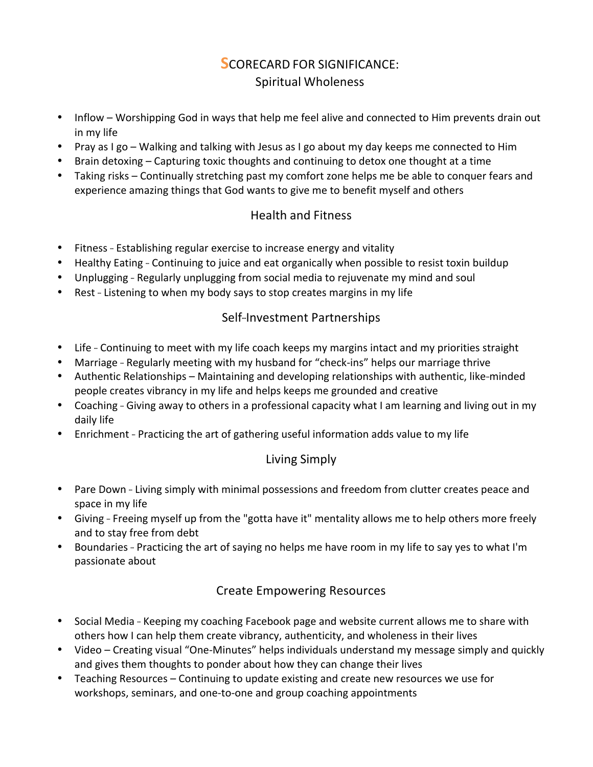# **S**CORECARD FOR SIGNIFICANCE: Spiritual Wholeness

- Inflow Worshipping God in ways that help me feel alive and connected to Him prevents drain out in my life
- Pray as I go Walking and talking with Jesus as I go about my day keeps me connected to Him
- Brain detoxing Capturing toxic thoughts and continuing to detox one thought at a time
- Taking risks Continually stretching past my comfort zone helps me be able to conquer fears and experience amazing things that God wants to give me to benefit myself and others

# Health and Fitness

- Fitness Establishing regular exercise to increase energy and vitality
- Healthy Eating Continuing to juice and eat organically when possible to resist toxin buildup
- Unplugging Regularly unplugging from social media to rejuvenate my mind and soul
- Rest Listening to when my body says to stop creates margins in my life

### Self-Investment Partnerships

- Life Continuing to meet with my life coach keeps my margins intact and my priorities straight
- Marriage -- Regularly meeting with my husband for "check-ins" helps our marriage thrive
- Authentic Relationships Maintaining and developing relationships with authentic, like-minded people creates vibrancy in my life and helps keeps me grounded and creative
- Coaching Giving away to others in a professional capacity what I am learning and living out in my daily life
- Enrichment Practicing the art of gathering useful information adds value to my life

# Living Simply

- Pare Down Living simply with minimal possessions and freedom from clutter creates peace and space in my life
- Giving Freeing myself up from the "gotta have it" mentality allows me to help others more freely and to stay free from debt
- Boundaries -- Practicing the art of saying no helps me have room in my life to say yes to what I'm passionate about

# Create Empowering Resources

- Social Media Keeping my coaching Facebook page and website current allows me to share with others how I can help them create vibrancy, authenticity, and wholeness in their lives
- Video Creating visual "One-Minutes" helps individuals understand my message simply and quickly and gives them thoughts to ponder about how they can change their lives
- Teaching Resources Continuing to update existing and create new resources we use for workshops, seminars, and one-to-one and group coaching appointments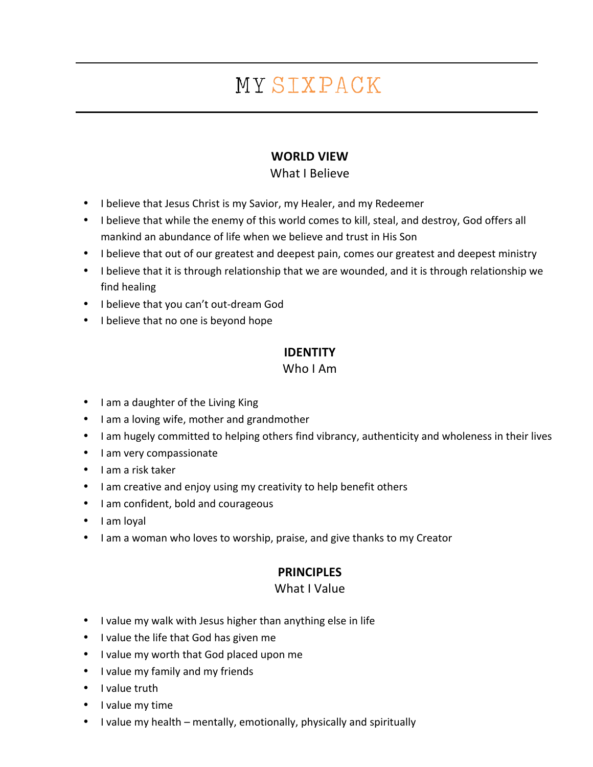# MY SIXPACK

## **WORLD VIEW**

### What I Believe

- I believe that Jesus Christ is my Savior, my Healer, and my Redeemer
- I believe that while the enemy of this world comes to kill, steal, and destroy, God offers all mankind an abundance of life when we believe and trust in His Son
- I believe that out of our greatest and deepest pain, comes our greatest and deepest ministry
- I believe that it is through relationship that we are wounded, and it is through relationship we find healing
- I believe that you can't out-dream God
- I believe that no one is beyond hope

### **IDENTITY**

#### Who I Am

- I am a daughter of the Living King
- I am a loving wife, mother and grandmother
- I am hugely committed to helping others find vibrancy, authenticity and wholeness in their lives
- I am very compassionate
- I am a risk taker
- I am creative and enjoy using my creativity to help benefit others
- I am confident, bold and courageous
- I am loyal
- I am a woman who loves to worship, praise, and give thanks to my Creator

### **PRINCIPLES**

#### What I Value

- I value my walk with Jesus higher than anything else in life
- I value the life that God has given me
- I value my worth that God placed upon me
- I value my family and my friends
- I value truth
- I value my time
- I value my health mentally, emotionally, physically and spiritually